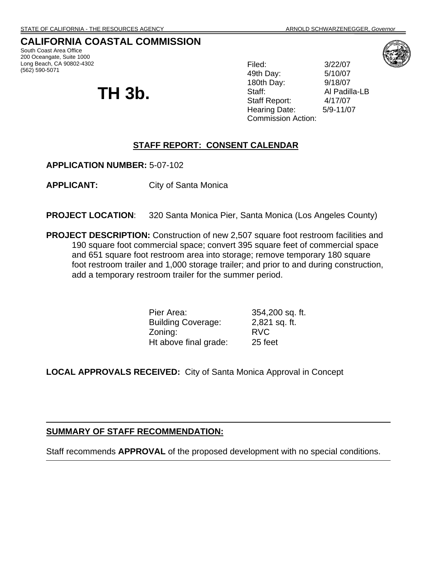## **CALIFORNIA COASTAL COMMISSION**

South Coast Area Office 200 Oceangate, Suite 1000 Long Beach, CA 90802-4302 (562) 590-5071

# **TH 3b.**

Filed: 3/22/07 49th Day: 5/10/07 180th Day: 9/18/07 Staff: Al Padilla-LB Staff Report: 4/17/07 Hearing Date: 5/9-11/07 Commission Action:



#### **STAFF REPORT: CONSENT CALENDAR**

**APPLICATION NUMBER:** 5-07-102

**APPLICANT:** City of Santa Monica

- **PROJECT LOCATION:** 320 Santa Monica Pier, Santa Monica (Los Angeles County)
- **PROJECT DESCRIPTION:** Construction of new 2,507 square foot restroom facilities and 190 square foot commercial space; convert 395 square feet of commercial space and 651 square foot restroom area into storage; remove temporary 180 square foot restroom trailer and 1,000 storage trailer; and prior to and during construction, add a temporary restroom trailer for the summer period.

Pier Area: 354,200 sq. ft. Building Coverage: 2,821 sq. ft. Zoning: RVC Ht above final grade: 25 feet

**LOCAL APPROVALS RECEIVED:** City of Santa Monica Approval in Concept

#### **SUMMARY OF STAFF RECOMMENDATION:**

Staff recommends **APPROVAL** of the proposed development with no special conditions.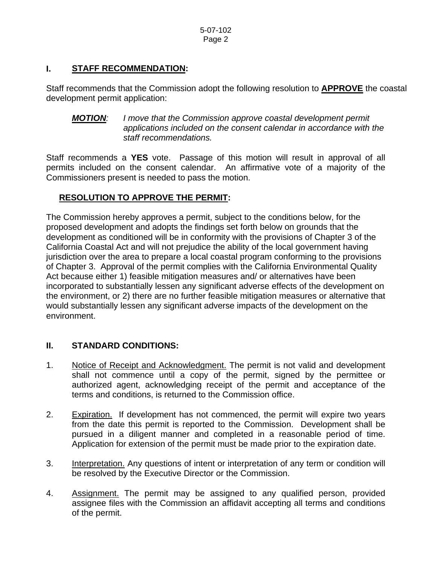#### **I. STAFF RECOMMENDATION:**

Staff recommends that the Commission adopt the following resolution to **APPROVE** the coastal development permit application:

*MOTION: I move that the Commission approve coastal development permit applications included on the consent calendar in accordance with the staff recommendations.* 

Staff recommends a **YES** vote. Passage of this motion will result in approval of all permits included on the consent calendar. An affirmative vote of a majority of the Commissioners present is needed to pass the motion.

#### **RESOLUTION TO APPROVE THE PERMIT:**

The Commission hereby approves a permit, subject to the conditions below, for the proposed development and adopts the findings set forth below on grounds that the development as conditioned will be in conformity with the provisions of Chapter 3 of the California Coastal Act and will not prejudice the ability of the local government having jurisdiction over the area to prepare a local coastal program conforming to the provisions of Chapter 3. Approval of the permit complies with the California Environmental Quality Act because either 1) feasible mitigation measures and/ or alternatives have been incorporated to substantially lessen any significant adverse effects of the development on the environment, or 2) there are no further feasible mitigation measures or alternative that would substantially lessen any significant adverse impacts of the development on the environment.

#### **II. STANDARD CONDITIONS:**

- 1. Notice of Receipt and Acknowledgment. The permit is not valid and development shall not commence until a copy of the permit, signed by the permittee or authorized agent, acknowledging receipt of the permit and acceptance of the terms and conditions, is returned to the Commission office.
- 2. Expiration. If development has not commenced, the permit will expire two years from the date this permit is reported to the Commission. Development shall be pursued in a diligent manner and completed in a reasonable period of time. Application for extension of the permit must be made prior to the expiration date.
- 3. Interpretation. Any questions of intent or interpretation of any term or condition will be resolved by the Executive Director or the Commission.
- 4. Assignment. The permit may be assigned to any qualified person, provided assignee files with the Commission an affidavit accepting all terms and conditions of the permit.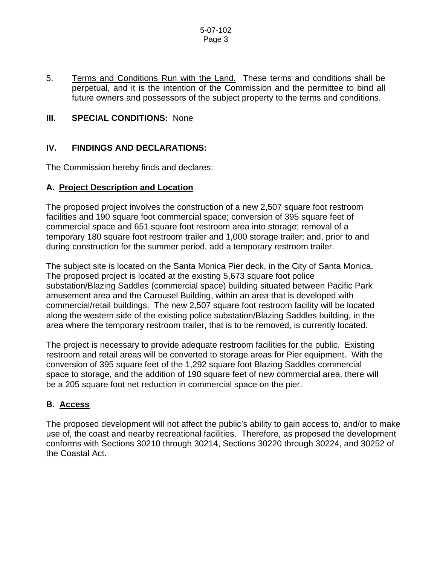#### 5-07-102 Page 3

5. Terms and Conditions Run with the Land. These terms and conditions shall be perpetual, and it is the intention of the Commission and the permittee to bind all future owners and possessors of the subject property to the terms and conditions.

#### **III. SPECIAL CONDITIONS: None**

#### **IV. FINDINGS AND DECLARATIONS:**

The Commission hereby finds and declares:

#### **A. Project Description and Location**

The proposed project involves the construction of a new 2,507 square foot restroom facilities and 190 square foot commercial space; conversion of 395 square feet of commercial space and 651 square foot restroom area into storage; removal of a temporary 180 square foot restroom trailer and 1,000 storage trailer; and, prior to and during construction for the summer period, add a temporary restroom trailer.

The subject site is located on the Santa Monica Pier deck, in the City of Santa Monica. The proposed project is located at the existing 5,673 square foot police substation/Blazing Saddles (commercial space) building situated between Pacific Park amusement area and the Carousel Building, within an area that is developed with commercial/retail buildings. The new 2,507 square foot restroom facility will be located along the western side of the existing police substation/Blazing Saddles building, in the area where the temporary restroom trailer, that is to be removed, is currently located.

The project is necessary to provide adequate restroom facilities for the public. Existing restroom and retail areas will be converted to storage areas for Pier equipment. With the conversion of 395 square feet of the 1,292 square foot Blazing Saddles commercial space to storage, and the addition of 190 square feet of new commercial area, there will be a 205 square foot net reduction in commercial space on the pier.

#### **B. Access**

The proposed development will not affect the public's ability to gain access to, and/or to make use of, the coast and nearby recreational facilities. Therefore, as proposed the development conforms with Sections 30210 through 30214, Sections 30220 through 30224, and 30252 of the Coastal Act.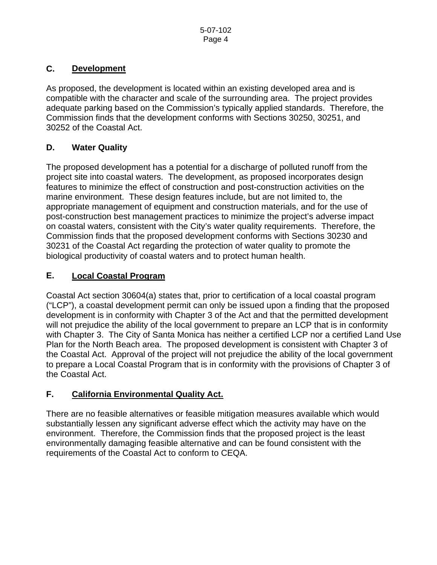## **C. Development**

As proposed, the development is located within an existing developed area and is compatible with the character and scale of the surrounding area. The project provides adequate parking based on the Commission's typically applied standards. Therefore, the Commission finds that the development conforms with Sections 30250, 30251, and 30252 of the Coastal Act.

# **D. Water Quality**

The proposed development has a potential for a discharge of polluted runoff from the project site into coastal waters. The development, as proposed incorporates design features to minimize the effect of construction and post-construction activities on the marine environment. These design features include, but are not limited to, the appropriate management of equipment and construction materials, and for the use of post-construction best management practices to minimize the project's adverse impact on coastal waters, consistent with the City's water quality requirements. Therefore, the Commission finds that the proposed development conforms with Sections 30230 and 30231 of the Coastal Act regarding the protection of water quality to promote the biological productivity of coastal waters and to protect human health.

# **E. Local Coastal Program**

Coastal Act section 30604(a) states that, prior to certification of a local coastal program ("LCP"), a coastal development permit can only be issued upon a finding that the proposed development is in conformity with Chapter 3 of the Act and that the permitted development will not prejudice the ability of the local government to prepare an LCP that is in conformity with Chapter 3. The City of Santa Monica has neither a certified LCP nor a certified Land Use Plan for the North Beach area. The proposed development is consistent with Chapter 3 of the Coastal Act. Approval of the project will not prejudice the ability of the local government to prepare a Local Coastal Program that is in conformity with the provisions of Chapter 3 of the Coastal Act.

# **F. California Environmental Quality Act.**

There are no feasible alternatives or feasible mitigation measures available which would substantially lessen any significant adverse effect which the activity may have on the environment. Therefore, the Commission finds that the proposed project is the least environmentally damaging feasible alternative and can be found consistent with the requirements of the Coastal Act to conform to CEQA.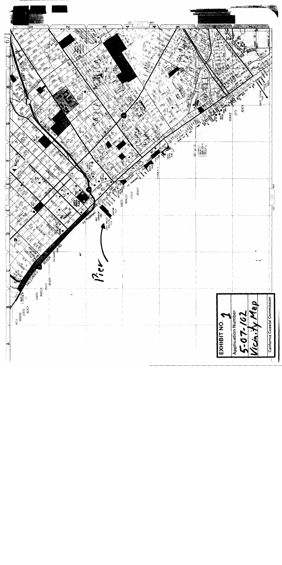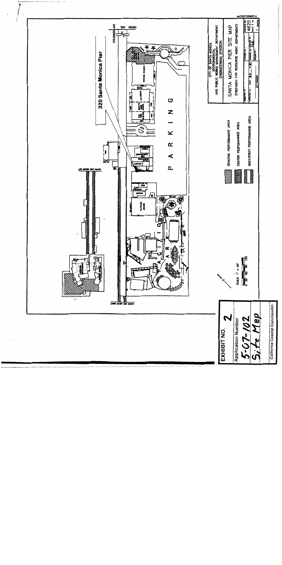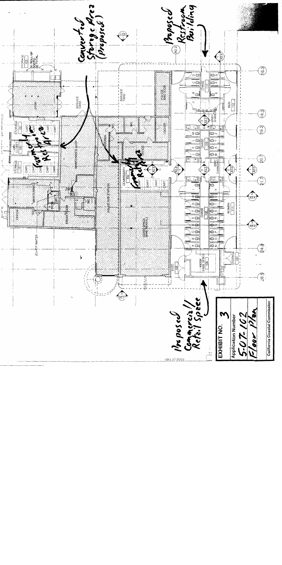